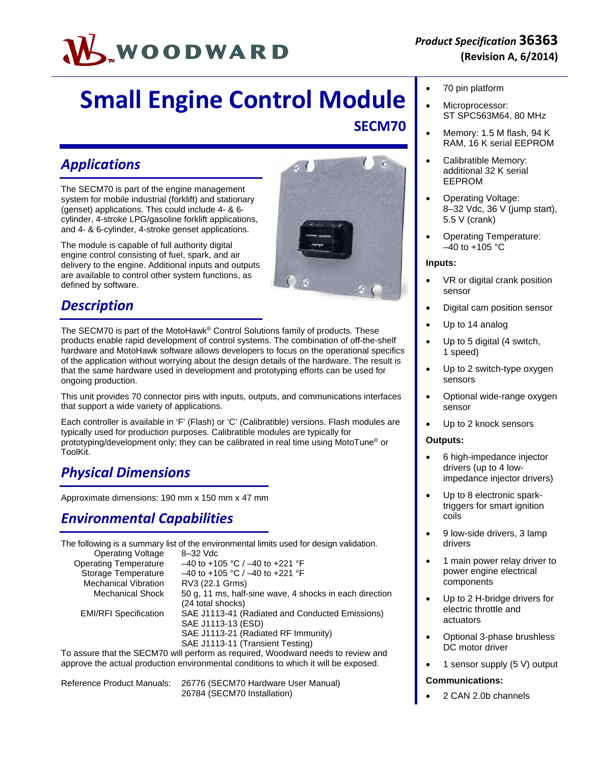# WOODWARD

## **Small Engine Control Module SECM70**

## *Applications*

The SECM70 is part of the engine management system for mobile industrial (forklift) and stationary (genset) applications. This could include 4- & 6 cylinder, 4-stroke LPG/gasoline forklift applications, and 4- & 6-cylinder, 4-stroke genset applications.

The module is capable of full authority digital engine control consisting of fuel, spark, and air delivery to the engine. Additional inputs and outputs are available to control other system functions, as defined by software.



## *Description*

The SECM70 is part of the MotoHawk® Control Solutions family of products. These products enable rapid development of control systems. The combination of off-the-shelf hardware and MotoHawk software allows developers to focus on the operational specifics of the application without worrying about the design details of the hardware. The result is that the same hardware used in development and prototyping efforts can be used for ongoing production.

This unit provides 70 connector pins with inputs, outputs, and communications interfaces that support a wide variety of applications.

Each controller is available in 'F' (Flash) or 'C' (Calibratible) versions. Flash modules are typically used for production purposes. Calibratible modules are typically for prototyping/development only; they can be calibrated in real time using MotoTune® or ToolKit.

#### *Physical Dimensions*

Approximate dimensions: 190 mm x 150 mm x 47 mm

#### *Environmental Capabilities*

The following is a summary list of the environmental limits used for design validation. Operating Voltage 8–32 Vdc

| <b>Operating Temperature</b> | $-40$ to +105 °C / $-40$ to +221 °F                                                                                                              |
|------------------------------|--------------------------------------------------------------------------------------------------------------------------------------------------|
| Storage Temperature          | $-40$ to +105 °C / $-40$ to +221 °F                                                                                                              |
| <b>Mechanical Vibration</b>  | RV3 (22.1 Grms)                                                                                                                                  |
| <b>Mechanical Shock</b>      | 50 g, 11 ms, half-sine wave, 4 shocks in each direction<br>(24 total shocks)                                                                     |
| <b>EMI/RFI Specification</b> | SAE J1113-41 (Radiated and Conducted Emissions)<br>SAE J1113-13 (ESD)<br>SAE J1113-21 (Radiated RF Immunity)<br>SAE J1113-11 (Transient Testing) |
|                              |                                                                                                                                                  |

To assure that the SECM70 will perform as required, Woodward needs to review and approve the actual production environmental conditions to which it will be exposed.

Reference Product Manuals: 26776 (SECM70 Hardware User Manual) 26784 (SECM70 Installation)

- 70 pin platform
- Microprocessor: ST SPC563M64, 80 MHz
- Memory: 1.5 M flash, 94 K RAM, 16 K serial EEPROM
- Calibratible Memory: additional 32 K serial EEPROM
- Operating Voltage: 8–32 Vdc, 36 V (jump start), 5.5 V (crank)
- Operating Temperature:  $-40$  to  $+105$  °C

#### **Inputs:**

- VR or digital crank position sensor
- Digital cam position sensor
- Up to 14 analog
- Up to 5 digital (4 switch, 1 speed)
- Up to 2 switch-type oxygen sensors
- Optional wide-range oxygen sensor
- Up to 2 knock sensors

#### **Outputs:**

- 6 high-impedance injector drivers (up to 4 lowimpedance injector drivers)
- Up to 8 electronic sparktriggers for smart ignition coils
- 9 low-side drivers, 3 lamp drivers
- 1 main power relay driver to power engine electrical components
- Up to 2 H-bridge drivers for electric throttle and actuators
- Optional 3-phase brushless DC motor driver
- 1 sensor supply (5 V) output

#### **Communications:**

2 CAN 2.0b channels